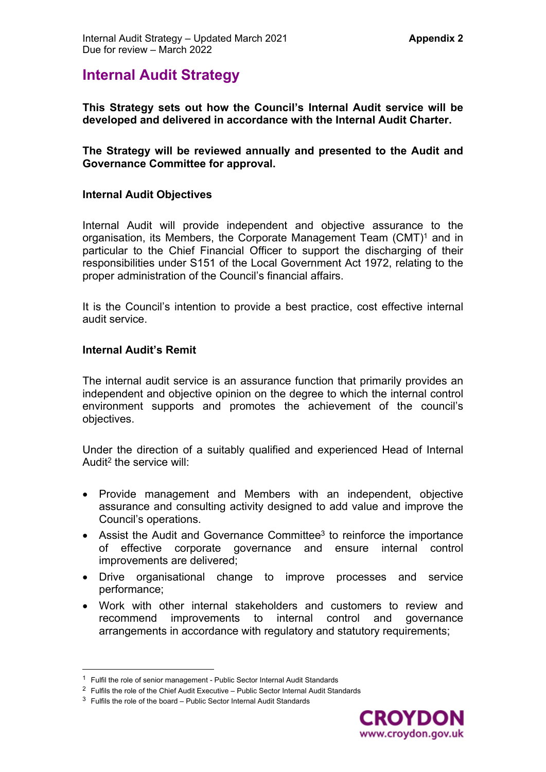# **Internal Audit Strategy**

**This Strategy sets out how the Council's Internal Audit service will be developed and delivered in accordance with the Internal Audit Charter.** 

**The Strategy will be reviewed annually and presented to the Audit and Governance Committee for approval.**

#### **Internal Audit Objectives**

Internal Audit will provide independent and objective assurance to the organisation, its Members, the Corporate Management Team (CMT)<sup>1</sup> and in particular to the Chief Financial Officer to support the discharging of their responsibilities under S151 of the Local Government Act 1972, relating to the proper administration of the Council's financial affairs.

It is the Council's intention to provide a best practice, cost effective internal audit service.

#### **Internal Audit's Remit**

The internal audit service is an assurance function that primarily provides an independent and objective opinion on the degree to which the internal control environment supports and promotes the achievement of the council's objectives.

Under the direction of a suitably qualified and experienced Head of Internal Audit<sup>2</sup> the service will:

- Provide management and Members with an independent, objective assurance and consulting activity designed to add value and improve the Council's operations.
- Assist the Audit and Governance Committee<sup>3</sup> to reinforce the importance of effective corporate governance and ensure internal control improvements are delivered;
- Drive organisational change to improve processes and service performance;
- Work with other internal stakeholders and customers to review and recommend improvements to internal control and governance arrangements in accordance with regulatory and statutory requirements;



<sup>&</sup>lt;sup>1</sup> Fulfil the role of senior management - Public Sector Internal Audit Standards

 $2$  Fulfils the role of the Chief Audit Executive – Public Sector Internal Audit Standards

 $3$  Fulfils the role of the board – Public Sector Internal Audit Standards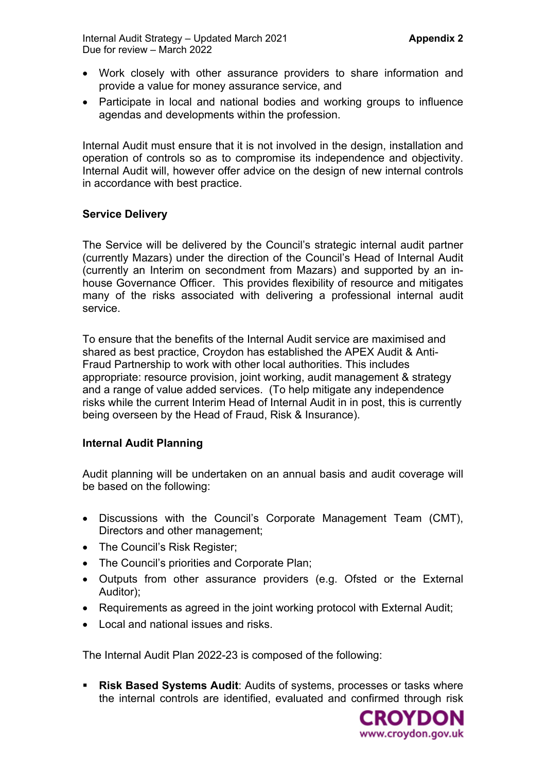- Work closely with other assurance providers to share information and provide a value for money assurance service, and
- Participate in local and national bodies and working groups to influence agendas and developments within the profession.

Internal Audit must ensure that it is not involved in the design, installation and operation of controls so as to compromise its independence and objectivity. Internal Audit will, however offer advice on the design of new internal controls in accordance with best practice.

## **Service Delivery**

The Service will be delivered by the Council's strategic internal audit partner (currently Mazars) under the direction of the Council's Head of Internal Audit (currently an Interim on secondment from Mazars) and supported by an inhouse Governance Officer. This provides flexibility of resource and mitigates many of the risks associated with delivering a professional internal audit service.

To ensure that the benefits of the Internal Audit service are maximised and shared as best practice, Croydon has established the APEX Audit & Anti-Fraud Partnership to work with other local authorities. This includes appropriate: resource provision, joint working, audit management & strategy and a range of value added services. (To help mitigate any independence risks while the current Interim Head of Internal Audit in in post, this is currently being overseen by the Head of Fraud, Risk & Insurance).

## **Internal Audit Planning**

Audit planning will be undertaken on an annual basis and audit coverage will be based on the following:

- Discussions with the Council's Corporate Management Team (CMT), Directors and other management;
- The Council's Risk Register;
- The Council's priorities and Corporate Plan;
- Outputs from other assurance providers (e.g. Ofsted or the External Auditor);
- Requirements as agreed in the joint working protocol with External Audit;
- Local and national issues and risks.

The Internal Audit Plan 2022-23 is composed of the following:

 **Risk Based Systems Audit**: Audits of systems, processes or tasks where the internal controls are identified, evaluated and confirmed through risk

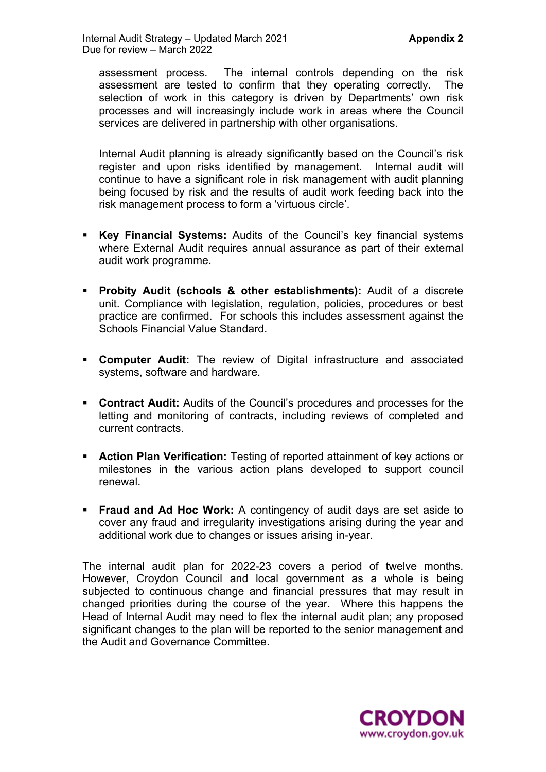assessment process. The internal controls depending on the risk assessment are tested to confirm that they operating correctly. The selection of work in this category is driven by Departments' own risk processes and will increasingly include work in areas where the Council services are delivered in partnership with other organisations.

Internal Audit planning is already significantly based on the Council's risk register and upon risks identified by management. Internal audit will continue to have a significant role in risk management with audit planning being focused by risk and the results of audit work feeding back into the risk management process to form a 'virtuous circle'.

- **Key Financial Systems:** Audits of the Council's key financial systems where External Audit requires annual assurance as part of their external audit work programme.
- **Probity Audit (schools & other establishments):** Audit of a discrete unit. Compliance with legislation, regulation, policies, procedures or best practice are confirmed. For schools this includes assessment against the Schools Financial Value Standard.
- **Computer Audit:** The review of Digital infrastructure and associated systems, software and hardware.
- **Contract Audit:** Audits of the Council's procedures and processes for the letting and monitoring of contracts, including reviews of completed and current contracts.
- **Action Plan Verification:** Testing of reported attainment of key actions or milestones in the various action plans developed to support council renewal.
- **Fraud and Ad Hoc Work:** A contingency of audit days are set aside to cover any fraud and irregularity investigations arising during the year and additional work due to changes or issues arising in-year.

The internal audit plan for 2022-23 covers a period of twelve months. However, Croydon Council and local government as a whole is being subjected to continuous change and financial pressures that may result in changed priorities during the course of the year. Where this happens the Head of Internal Audit may need to flex the internal audit plan; any proposed significant changes to the plan will be reported to the senior management and the Audit and Governance Committee.